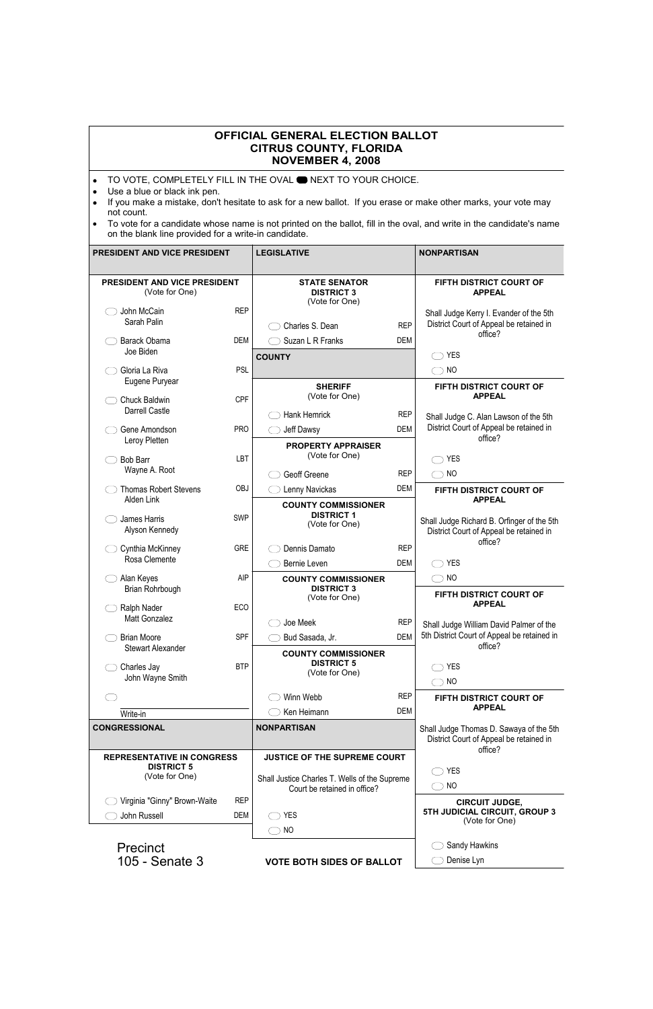## **OFFICIAL GENERAL ELECTION BALLOT CITRUS COUNTY, FLORIDA NOVEMBER 4, 2008**

- TO VOTE, COMPLETELY FILL IN THE OVAL **ONEXT TO YOUR CHOICE.**
- Use a blue or black ink pen.
- If you make a mistake, don't hesitate to ask for a new ballot. If you erase or make other marks, your vote may not count.
- To vote for a candidate whose name is not printed on the ballot, fill in the oval, and write in the candidate's name on the blank line provided for a write-in candidate.

| PRESIDENT AND VICE PRESIDENT                   |            | <b>LEGISLATIVE</b>                                                            |            | <b>NONPARTISAN</b>                                                                                     |
|------------------------------------------------|------------|-------------------------------------------------------------------------------|------------|--------------------------------------------------------------------------------------------------------|
| PRESIDENT AND VICE PRESIDENT<br>(Vote for One) |            | <b>STATE SENATOR</b><br><b>DISTRICT 3</b><br>(Vote for One)                   |            | FIFTH DISTRICT COURT OF<br><b>APPEAL</b>                                                               |
| John McCain<br>Sarah Palin                     | <b>REP</b> | Charles S. Dean                                                               | <b>REP</b> | Shall Judge Kerry I. Evander of the 5th<br>District Court of Appeal be retained in                     |
| Barack Obama<br>Joe Biden                      | <b>DEM</b> | Suzan L R Franks                                                              | DEM        | office?                                                                                                |
| Gloria La Riva                                 | <b>PSL</b> | <b>COUNTY</b>                                                                 |            | <b>YES</b><br>N <sub>O</sub>                                                                           |
| Eugene Puryear                                 |            | <b>SHERIFF</b><br>(Vote for One)                                              |            | FIFTH DISTRICT COURT OF<br><b>APPEAL</b>                                                               |
| <b>Chuck Baldwin</b><br><b>Darrell Castle</b>  | <b>CPF</b> | <b>Hank Hemrick</b>                                                           | <b>REP</b> | Shall Judge C. Alan Lawson of the 5th                                                                  |
| Gene Amondson<br>Leroy Pletten                 | <b>PRO</b> | Jeff Dawsy                                                                    | <b>DEM</b> | District Court of Appeal be retained in<br>office?                                                     |
|                                                |            | <b>PROPERTY APPRAISER</b>                                                     |            |                                                                                                        |
| <b>Bob Barr</b>                                | LBT        | (Vote for One)                                                                |            | <b>YES</b>                                                                                             |
| Wayne A. Root                                  |            | Geoff Greene                                                                  | <b>REP</b> | N <sub>O</sub>                                                                                         |
| <b>Thomas Robert Stevens</b>                   | <b>OBJ</b> | Lenny Navickas                                                                | <b>DEM</b> | FIFTH DISTRICT COURT OF                                                                                |
| Alden Link<br>James Harris<br>Alyson Kennedy   | <b>SWP</b> | <b>COUNTY COMMISSIONER</b><br><b>DISTRICT 1</b><br>(Vote for One)             |            | <b>APPEAL</b><br>Shall Judge Richard B. Orfinger of the 5th<br>District Court of Appeal be retained in |
| Cynthia McKinney                               | <b>GRE</b> | Dennis Damato                                                                 | <b>REP</b> | office?                                                                                                |
| Rosa Clemente                                  |            | Bernie Leven                                                                  | DEM        | <b>YES</b>                                                                                             |
| Alan Keyes                                     | <b>AIP</b> | <b>COUNTY COMMISSIONER</b>                                                    |            | N <sub>O</sub><br>$\rightarrow$                                                                        |
| Brian Rohrbough                                |            | <b>DISTRICT 3</b><br>(Vote for One)                                           |            | FIFTH DISTRICT COURT OF<br><b>APPEAL</b>                                                               |
| Ralph Nader<br>Matt Gonzalez                   | ECO        | Joe Meek                                                                      | <b>REP</b> | Shall Judge William David Palmer of the                                                                |
| <b>Brian Moore</b>                             | <b>SPF</b> | Bud Sasada, Jr.                                                               | <b>DEM</b> | 5th District Court of Appeal be retained in                                                            |
| <b>Stewart Alexander</b>                       |            | <b>COUNTY COMMISSIONER</b>                                                    |            | office?                                                                                                |
| Charles Jay                                    | <b>BTP</b> | <b>DISTRICT 5</b>                                                             |            | <b>YES</b>                                                                                             |
| John Wayne Smith                               |            | (Vote for One)                                                                |            | N <sub>O</sub>                                                                                         |
|                                                |            | Winn Webb                                                                     | <b>REP</b> | FIFTH DISTRICT COURT OF<br><b>APPEAL</b>                                                               |
| Write-in                                       |            | Ken Heimann                                                                   | DEM        |                                                                                                        |
| <b>CONGRESSIONAL</b>                           |            | <b>NONPARTISAN</b>                                                            |            | Shall Judge Thomas D. Sawaya of the 5th<br>District Court of Appeal be retained in<br>office?          |
| <b>REPRESENTATIVE IN CONGRESS</b>              |            | JUSTICE OF THE SUPREME COURT                                                  |            |                                                                                                        |
| <b>DISTRICT 5</b><br>(Vote for One)            |            | Shall Justice Charles T. Wells of the Supreme<br>Court be retained in office? |            | <b>YES</b>                                                                                             |
|                                                |            |                                                                               |            | N <sub>O</sub>                                                                                         |
| Virginia "Ginny" Brown-Waite                   | <b>REP</b> |                                                                               |            | <b>CIRCUIT JUDGE,</b><br>5TH JUDICIAL CIRCUIT, GROUP 3                                                 |
| John Russell                                   | <b>DEM</b> | <b>YES</b>                                                                    |            | (Vote for One)                                                                                         |
|                                                |            | <b>NO</b>                                                                     |            |                                                                                                        |
| <b>Precinct</b>                                |            |                                                                               |            | Sandy Hawkins                                                                                          |
| 105 - Senate 3                                 |            | <b>VOTE BOTH SIDES OF BALLOT</b>                                              |            | Denise Lyn                                                                                             |